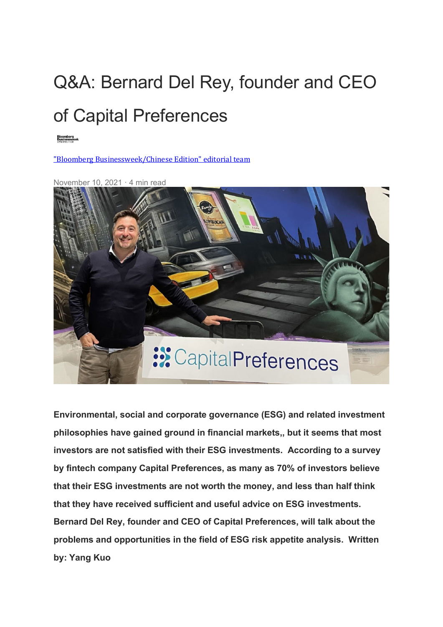## Q&A: Bernard Del Rey, founder and CEO [of C](https://bbwhk.medium.com/?source=post_page-----dbe29284543e-----------------------------------)apital Preferences

["Bloomberg Businessweek/Chinese Edition" editorial team](https://bbwhk.medium.com/?source=post_page-----dbe29284543e-----------------------------------)



**Environmental, social and corporate governance (ESG) and related investment philosophies have gained ground in financial markets,, but it seems that most investors are not satisfied with their ESG investments. According to a survey by fintech company Capital Preferences, as many as 70% of investors believe that their ESG investments are not worth the money, and less than half think that they have received sufficient and useful advice on ESG investments. Bernard Del Rey, founder and CEO of Capital Preferences, will talk about the problems and opportunities in the field of ESG risk appetite analysis. Written by: Yang Kuo**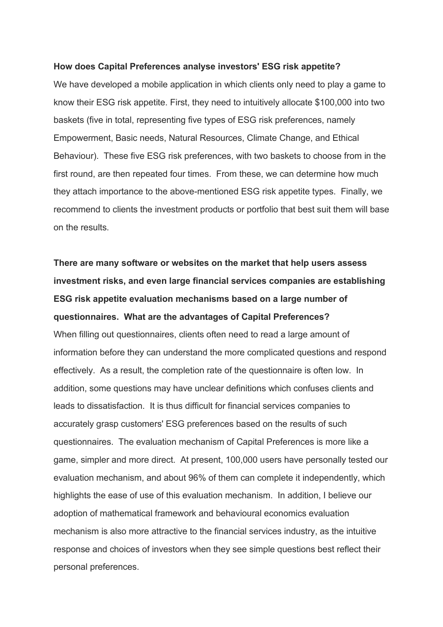## **How does Capital Preferences analyse investors' ESG risk appetite?**

We have developed a mobile application in which clients only need to play a game to know their ESG risk appetite. First, they need to intuitively allocate \$100,000 into two baskets (five in total, representing five types of ESG risk preferences, namely Empowerment, Basic needs, Natural Resources, Climate Change, and Ethical Behaviour). These five ESG risk preferences, with two baskets to choose from in the first round, are then repeated four times. From these, we can determine how much they attach importance to the above-mentioned ESG risk appetite types. Finally, we recommend to clients the investment products or portfolio that best suit them will base on the results.

**There are many software or websites on the market that help users assess investment risks, and even large financial services companies are establishing ESG risk appetite evaluation mechanisms based on a large number of questionnaires. What are the advantages of Capital Preferences?** When filling out questionnaires, clients often need to read a large amount of information before they can understand the more complicated questions and respond effectively. As a result, the completion rate of the questionnaire is often low. In addition, some questions may have unclear definitions which confuses clients and leads to dissatisfaction. It is thus difficult for financial services companies to accurately grasp customers' ESG preferences based on the results of such questionnaires. The evaluation mechanism of Capital Preferences is more like a game, simpler and more direct. At present, 100,000 users have personally tested our evaluation mechanism, and about 96% of them can complete it independently, which highlights the ease of use of this evaluation mechanism. In addition, I believe our adoption of mathematical framework and behavioural economics evaluation mechanism is also more attractive to the financial services industry, as the intuitive response and choices of investors when they see simple questions best reflect their personal preferences.